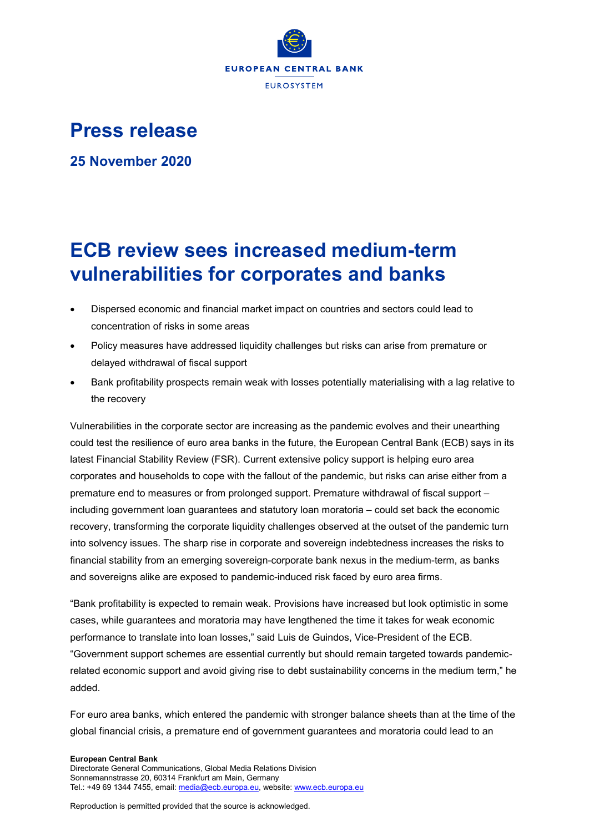

## **Press release**

**25 November 2020**

## **ECB review sees increased medium-term vulnerabilities for corporates and banks**

- Dispersed economic and financial market impact on countries and sectors could lead to concentration of risks in some areas
- Policy measures have addressed liquidity challenges but risks can arise from premature or delayed withdrawal of fiscal support
- Bank profitability prospects remain weak with losses potentially materialising with a lag relative to the recovery

Vulnerabilities in the corporate sector are increasing as the pandemic evolves and their unearthing could test the resilience of euro area banks in the future, the European Central Bank (ECB) says in its latest Financial Stability Review (FSR). Current extensive policy support is helping euro area corporates and households to cope with the fallout of the pandemic, but risks can arise either from a premature end to measures or from prolonged support. Premature withdrawal of fiscal support – including government loan guarantees and statutory loan moratoria – could set back the economic recovery, transforming the corporate liquidity challenges observed at the outset of the pandemic turn into solvency issues. The sharp rise in corporate and sovereign indebtedness increases the risks to financial stability from an emerging sovereign-corporate bank nexus in the medium-term, as banks and sovereigns alike are exposed to pandemic-induced risk faced by euro area firms.

"Bank profitability is expected to remain weak. Provisions have increased but look optimistic in some cases, while guarantees and moratoria may have lengthened the time it takes for weak economic performance to translate into loan losses," said Luis de Guindos, Vice-President of the ECB. "Government support schemes are essential currently but should remain targeted towards pandemicrelated economic support and avoid giving rise to debt sustainability concerns in the medium term," he added.

For euro area banks, which entered the pandemic with stronger balance sheets than at the time of the global financial crisis, a premature end of government guarantees and moratoria could lead to an

## **European Central Bank**

Directorate General Communications, Global Media Relations Division Sonnemannstrasse 20, 60314 Frankfurt am Main, Germany Tel.: +49 69 1344 7455, email[: media@ecb.europa.eu,](mailto:media@ecb.europa.eu) website[: www.ecb.europa.eu](http://www.ecb.europa.eu/)

Reproduction is permitted provided that the source is acknowledged.